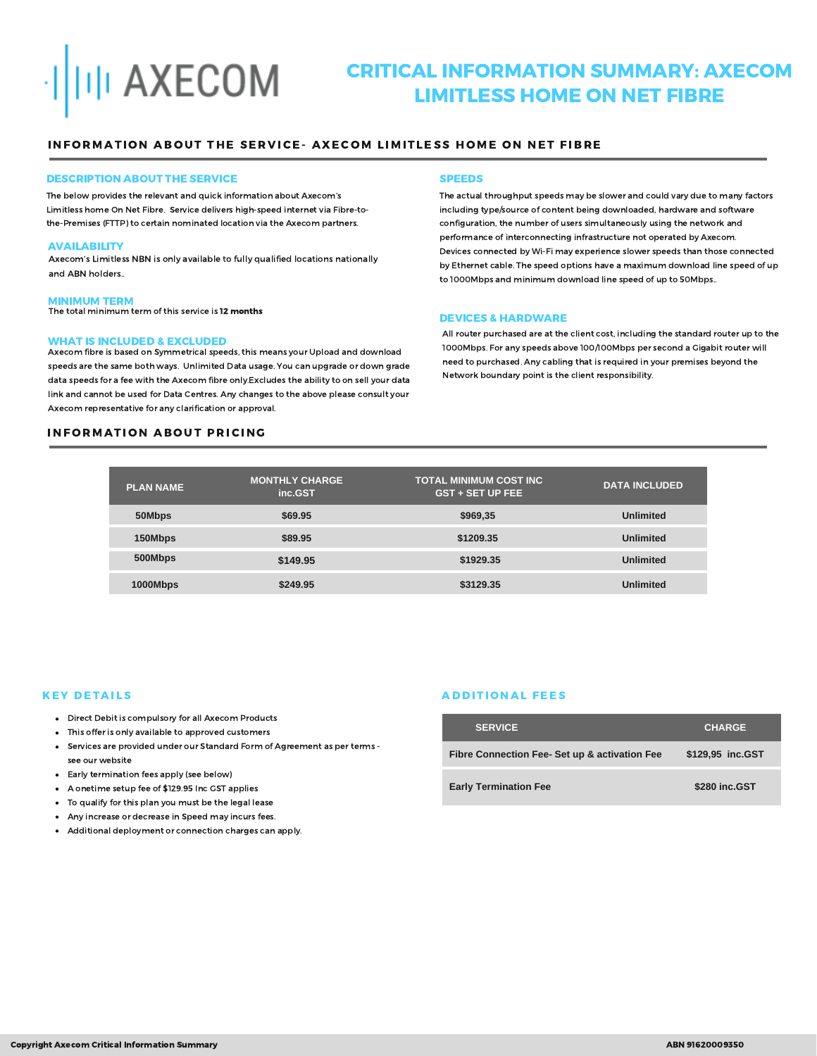

# CRITICAL INFORMATION SUMMARY: AXECOM LIMITLESS HOME ON NET FIBRE

## INFORMATION ABOUT THE SERVICE- AXECOM LIMITLESS HOME ON NET FIBRE

#### DESCRIPTION ABOUT THE SERVICE

The below provides the relevant and quick information about Axecom's Limitless home On Net Fibre. Service delivers high-speed internet via Fibre-tothe-Premises (FTTP) to certain nominated location via the Axecom partners.

#### **AVAILABILITY**

Axecom's Limitless NBN is only available to fully qualified locations nationally and ABN holders..

## MINIMUM TERM

The total minimum term of this service is 12 months

#### WHAT IS INCLUDED & EXCLUDED

Axecom fibre is based on Symmetrical speeds, this means your Upload and download speeds are the same both ways. Unlimited Data usage. You can upgrade or down grade data speeds for a fee with the Axecom fibre only.Excludes the ability to on sell your data link and cannot be used for Data Centres. Any changes to the above please consult your Axecom representative for any clarification or approval.

## **INFORMATION ABOUT PRICING**

#### **SPEEDS**

The actual throughput speeds may be slower and could vary due to many factors including type/source of content being downloaded, hardware and software configuration, the number of users simultaneously using the network and performance of interconnecting infrastructure not operated by Axecom. Devices connected by Wi-Fi may experience slower speeds than those connected by Ethernet cable. The speed options have a maximum download line speed of up to 1000Mbps and minimum download line speed of up to 50Mbps..

#### DEVICES & HARDWARE

All router purchased are at the client cost, including the standard router up to the 1000Mbps. For any speeds above 100/100Mbps per second a Gigabit router will need to purchased. Any cabling that is required in your premises beyond the Network boundary point is the client responsibility.

| <b>PLAN NAME</b> | <b>MONTHLY CHARGE</b><br>inc.GST | <b>TOTAL MINIMUM COST INC</b><br><b>GST + SET UP FEE</b> | <b>DATA INCLUDED</b> |
|------------------|----------------------------------|----------------------------------------------------------|----------------------|
| 50Mbps           | \$69.95                          | \$969,35                                                 | <b>Unlimited</b>     |
| 150Mbps          | \$89.95                          | \$1209.35                                                | <b>Unlimited</b>     |
| 500Mbps          | \$149.95                         | \$1929.35                                                | <b>Unlimited</b>     |
| 1000Mbps         | \$249.95                         | \$3129.35                                                | <b>Unlimited</b>     |

## **KEY DETAILS**

- Direct Debit is compulsory for all Axecom Products
- This offer is only available to approved customers
- Services are provided under our Standard Form of Agreement as per terms see our website
- Early termination fees apply (see below)
- A onetime setup fee of \$129.95 Inc GST applies
- To qualify for this plan you must be the legal lease
- Any increase or decrease in Speed may incurs fees.
- Additional deployment or connection charges can apply.

## **ADDITIONAL FEES**

| <b>SERVICE</b>                               | <b>CHARGE</b>    |
|----------------------------------------------|------------------|
| Fibre Connection Fee-Set up & activation Fee | \$129.95 inc.GST |
| <b>Early Termination Fee</b>                 | \$280 inc.GST    |